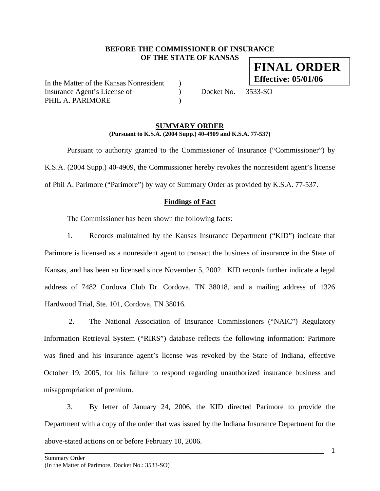### **BEFORE THE COMMISSIONER OF INSURANCE OF THE STATE OF KANSAS**

In the Matter of the Kansas Nonresident ) Insurance Agent's License of  $Docket No.$  3533-SO PHIL A. PARIMORE

**FINAL ORDER** 

**Effective: 05/01/06**

#### **SUMMARY ORDER (Pursuant to K.S.A. (2004 Supp.) 40-4909 and K.S.A. 77-537)**

 Pursuant to authority granted to the Commissioner of Insurance ("Commissioner") by K.S.A. (2004 Supp.) 40-4909, the Commissioner hereby revokes the nonresident agent's license of Phil A. Parimore ("Parimore") by way of Summary Order as provided by K.S.A. 77-537.

## **Findings of Fact**

The Commissioner has been shown the following facts:

1. Records maintained by the Kansas Insurance Department ("KID") indicate that Parimore is licensed as a nonresident agent to transact the business of insurance in the State of Kansas, and has been so licensed since November 5, 2002. KID records further indicate a legal address of 7482 Cordova Club Dr. Cordova, TN 38018, and a mailing address of 1326 Hardwood Trial, Ste. 101, Cordova, TN 38016.

2. The National Association of Insurance Commissioners ("NAIC") Regulatory Information Retrieval System ("RIRS") database reflects the following information: Parimore was fined and his insurance agent's license was revoked by the State of Indiana, effective October 19, 2005, for his failure to respond regarding unauthorized insurance business and misappropriation of premium.

3. By letter of January 24, 2006, the KID directed Parimore to provide the Department with a copy of the order that was issued by the Indiana Insurance Department for the above-stated actions on or before February 10, 2006.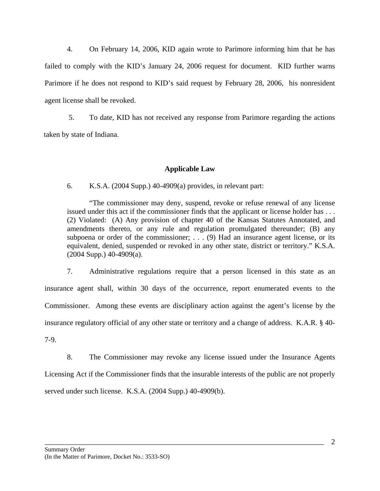4. On February 14, 2006, KID again wrote to Parimore informing him that he has failed to comply with the KID's January 24, 2006 request for document. KID further warns Parimore if he does not respond to KID's said request by February 28, 2006, his nonresident agent license shall be revoked.

5. To date, KID has not received any response from Parimore regarding the actions taken by state of Indiana.

## **Applicable Law**

6. K.S.A. (2004 Supp.) 40-4909(a) provides, in relevant part:

"The commissioner may deny, suspend, revoke or refuse renewal of any license issued under this act if the commissioner finds that the applicant or license holder has . . . (2) Violated: (A) Any provision of chapter 40 of the Kansas Statutes Annotated, and amendments thereto, or any rule and regulation promulgated thereunder; (B) any subpoena or order of the commissioner; . . . (9) Had an insurance agent license, or its equivalent, denied, suspended or revoked in any other state, district or territory." K.S.A. (2004 Supp.) 40-4909(a).

7. Administrative regulations require that a person licensed in this state as an insurance agent shall, within 30 days of the occurrence, report enumerated events to the Commissioner. Among these events are disciplinary action against the agent's license by the insurance regulatory official of any other state or territory and a change of address. K.A.R. § 40- 7-9.

8. The Commissioner may revoke any license issued under the Insurance Agents Licensing Act if the Commissioner finds that the insurable interests of the public are not properly served under such license. K.S.A. (2004 Supp.) 40-4909(b).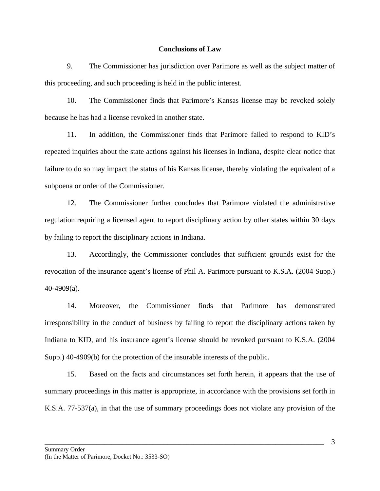#### **Conclusions of Law**

9. The Commissioner has jurisdiction over Parimore as well as the subject matter of this proceeding, and such proceeding is held in the public interest.

10. The Commissioner finds that Parimore's Kansas license may be revoked solely because he has had a license revoked in another state.

11. In addition, the Commissioner finds that Parimore failed to respond to KID's repeated inquiries about the state actions against his licenses in Indiana, despite clear notice that failure to do so may impact the status of his Kansas license, thereby violating the equivalent of a subpoena or order of the Commissioner.

12. The Commissioner further concludes that Parimore violated the administrative regulation requiring a licensed agent to report disciplinary action by other states within 30 days by failing to report the disciplinary actions in Indiana.

13. Accordingly, the Commissioner concludes that sufficient grounds exist for the revocation of the insurance agent's license of Phil A. Parimore pursuant to K.S.A. (2004 Supp.) 40-4909(a).

14. Moreover, the Commissioner finds that Parimore has demonstrated irresponsibility in the conduct of business by failing to report the disciplinary actions taken by Indiana to KID, and his insurance agent's license should be revoked pursuant to K.S.A. (2004 Supp.) 40-4909(b) for the protection of the insurable interests of the public.

15. Based on the facts and circumstances set forth herein, it appears that the use of summary proceedings in this matter is appropriate, in accordance with the provisions set forth in K.S.A. 77-537(a), in that the use of summary proceedings does not violate any provision of the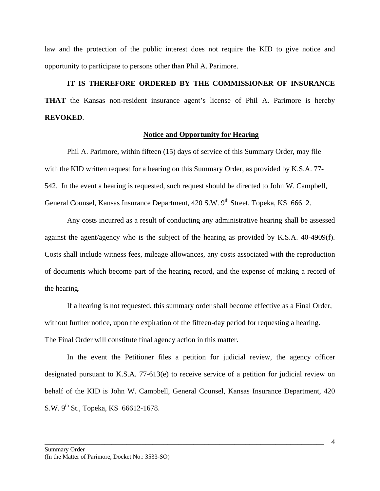law and the protection of the public interest does not require the KID to give notice and opportunity to participate to persons other than Phil A. Parimore.

**IT IS THEREFORE ORDERED BY THE COMMISSIONER OF INSURANCE THAT** the Kansas non-resident insurance agent's license of Phil A. Parimore is hereby **REVOKED**.

#### **Notice and Opportunity for Hearing**

Phil A. Parimore, within fifteen (15) days of service of this Summary Order, may file with the KID written request for a hearing on this Summary Order, as provided by K.S.A. 77- 542. In the event a hearing is requested, such request should be directed to John W. Campbell, General Counsel, Kansas Insurance Department, 420 S.W. 9<sup>th</sup> Street, Topeka, KS 66612.

 Any costs incurred as a result of conducting any administrative hearing shall be assessed against the agent/agency who is the subject of the hearing as provided by K.S.A. 40-4909(f). Costs shall include witness fees, mileage allowances, any costs associated with the reproduction of documents which become part of the hearing record, and the expense of making a record of the hearing.

If a hearing is not requested, this summary order shall become effective as a Final Order, without further notice, upon the expiration of the fifteen-day period for requesting a hearing. The Final Order will constitute final agency action in this matter.

In the event the Petitioner files a petition for judicial review, the agency officer designated pursuant to K.S.A. 77-613(e) to receive service of a petition for judicial review on behalf of the KID is John W. Campbell, General Counsel, Kansas Insurance Department, 420 S.W.  $9^{th}$  St., Topeka, KS 66612-1678.